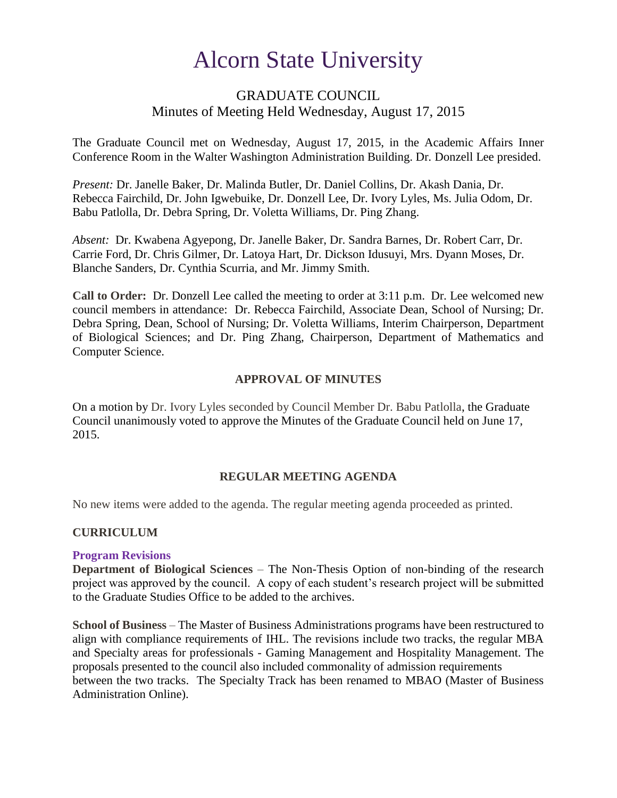# Alcorn State University

# GRADUATE COUNCIL Minutes of Meeting Held Wednesday, August 17, 2015

The Graduate Council met on Wednesday, August 17, 2015, in the Academic Affairs Inner Conference Room in the Walter Washington Administration Building. Dr. Donzell Lee presided.

*Present:* Dr. Janelle Baker, Dr. Malinda Butler, Dr. Daniel Collins, Dr. Akash Dania, Dr. Rebecca Fairchild, Dr. John Igwebuike, Dr. Donzell Lee, Dr. Ivory Lyles, Ms. Julia Odom, Dr. Babu Patlolla, Dr. Debra Spring, Dr. Voletta Williams, Dr. Ping Zhang.

*Absent:* Dr. Kwabena Agyepong, Dr. Janelle Baker, Dr. Sandra Barnes, Dr. Robert Carr, Dr. Carrie Ford, Dr. Chris Gilmer, Dr. Latoya Hart, Dr. Dickson Idusuyi, Mrs. Dyann Moses, Dr. Blanche Sanders, Dr. Cynthia Scurria, and Mr. Jimmy Smith.

**Call to Order:** Dr. Donzell Lee called the meeting to order at 3:11 p.m. Dr. Lee welcomed new council members in attendance: Dr. Rebecca Fairchild, Associate Dean, School of Nursing; Dr. Debra Spring, Dean, School of Nursing; Dr. Voletta Williams, Interim Chairperson, Department of Biological Sciences; and Dr. Ping Zhang, Chairperson, Department of Mathematics and Computer Science.

## **APPROVAL OF MINUTES**

On a motion by Dr. Ivory Lyles seconded by Council Member Dr. Babu Patlolla, the Graduate Council unanimously voted to approve the Minutes of the Graduate Council held on June 17, 2015.

## **REGULAR MEETING AGENDA**

No new items were added to the agenda. The regular meeting agenda proceeded as printed.

## **CURRICULUM**

## **Program Revisions**

**Department of Biological Sciences** – The Non-Thesis Option of non-binding of the research project was approved by the council. A copy of each student's research project will be submitted to the Graduate Studies Office to be added to the archives.

**School of Business** – The Master of Business Administrations programs have been restructured to align with compliance requirements of IHL. The revisions include two tracks, the regular MBA and Specialty areas for professionals - Gaming Management and Hospitality Management. The proposals presented to the council also included commonality of admission requirements between the two tracks. The Specialty Track has been renamed to MBAO (Master of Business Administration Online).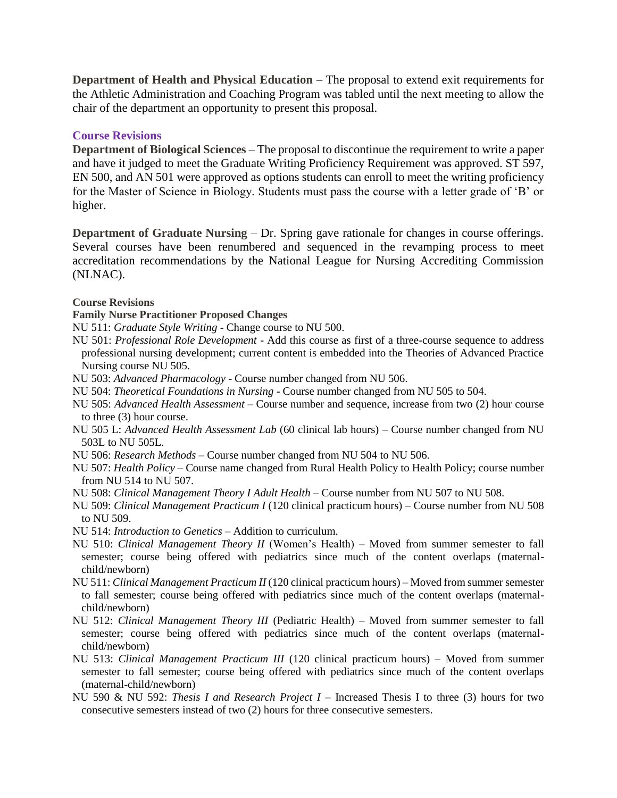**Department of Health and Physical Education** – The proposal to extend exit requirements for the Athletic Administration and Coaching Program was tabled until the next meeting to allow the chair of the department an opportunity to present this proposal.

## **Course Revisions**

**Department of Biological Sciences** – The proposal to discontinue the requirement to write a paper and have it judged to meet the Graduate Writing Proficiency Requirement was approved. ST 597, EN 500, and AN 501 were approved as options students can enroll to meet the writing proficiency for the Master of Science in Biology. Students must pass the course with a letter grade of 'B' or higher.

**Department of Graduate Nursing** – Dr. Spring gave rationale for changes in course offerings. Several courses have been renumbered and sequenced in the revamping process to meet accreditation recommendations by the National League for Nursing Accrediting Commission (NLNAC).

#### **Course Revisions**

#### **Family Nurse Practitioner Proposed Changes**

NU 511: *Graduate Style Writing* - Change course to NU 500.

- NU 501: *Professional Role Development* Add this course as first of a three-course sequence to address professional nursing development; current content is embedded into the Theories of Advanced Practice Nursing course NU 505.
- NU 503: *Advanced Pharmacology* Course number changed from NU 506.
- NU 504: *Theoretical Foundations in Nursing* Course number changed from NU 505 to 504.
- NU 505: *Advanced Health Assessment* Course number and sequence, increase from two (2) hour course to three (3) hour course.
- NU 505 L: *Advanced Health Assessment Lab* (60 clinical lab hours) Course number changed from NU 503L to NU 505L.
- NU 506: *Research Methods* Course number changed from NU 504 to NU 506.
- NU 507: *Health Policy* Course name changed from Rural Health Policy to Health Policy; course number from NU 514 to NU 507.
- NU 508: *Clinical Management Theory I Adult Health* Course number from NU 507 to NU 508.
- NU 509: *Clinical Management Practicum I* (120 clinical practicum hours) Course number from NU 508 to NU 509.
- NU 514: *Introduction to Genetics* Addition to curriculum.
- NU 510: *Clinical Management Theory II* (Women's Health) Moved from summer semester to fall semester; course being offered with pediatrics since much of the content overlaps (maternalchild/newborn)
- NU 511: *Clinical Management Practicum II* (120 clinical practicum hours) Moved from summer semester to fall semester; course being offered with pediatrics since much of the content overlaps (maternalchild/newborn)
- NU 512: *Clinical Management Theory III* (Pediatric Health) Moved from summer semester to fall semester; course being offered with pediatrics since much of the content overlaps (maternalchild/newborn)
- NU 513: *Clinical Management Practicum III* (120 clinical practicum hours) Moved from summer semester to fall semester; course being offered with pediatrics since much of the content overlaps (maternal-child/newborn)
- NU 590 & NU 592: *Thesis I and Research Project I* Increased Thesis I to three (3) hours for two consecutive semesters instead of two (2) hours for three consecutive semesters.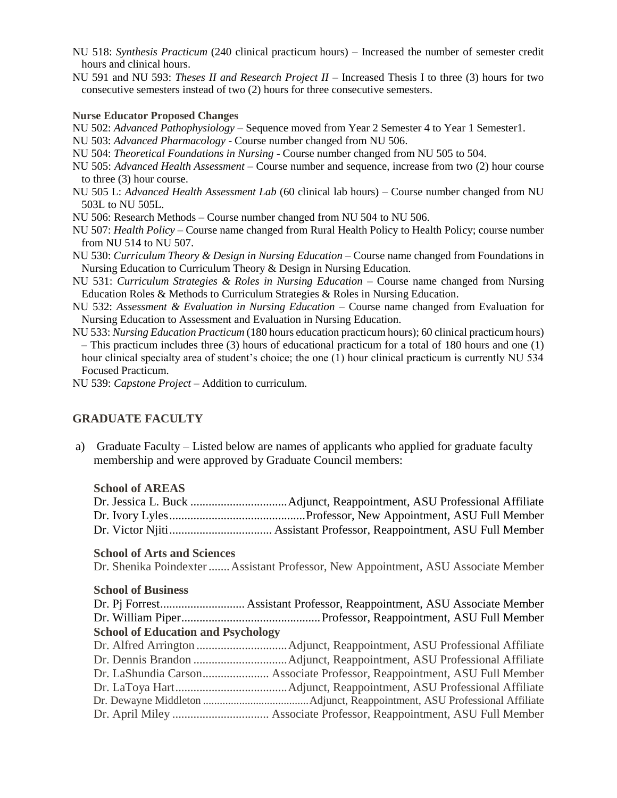- NU 518: *Synthesis Practicum* (240 clinical practicum hours) Increased the number of semester credit hours and clinical hours.
- NU 591 and NU 593: *Theses II and Research Project II* Increased Thesis I to three (3) hours for two consecutive semesters instead of two (2) hours for three consecutive semesters.

#### **Nurse Educator Proposed Changes**

- NU 502: *Advanced Pathophysiology* Sequence moved from Year 2 Semester 4 to Year 1 Semester1.
- NU 503: *Advanced Pharmacology* Course number changed from NU 506.
- NU 504: *Theoretical Foundations in Nursing* Course number changed from NU 505 to 504.
- NU 505: *Advanced Health Assessment* Course number and sequence, increase from two (2) hour course to three (3) hour course.
- NU 505 L: *Advanced Health Assessment Lab* (60 clinical lab hours) Course number changed from NU 503L to NU 505L.
- NU 506: Research Methods Course number changed from NU 504 to NU 506.
- NU 507: *Health Policy* Course name changed from Rural Health Policy to Health Policy; course number from NU 514 to NU 507.
- NU 530: *Curriculum Theory & Design in Nursing Education* Course name changed from Foundations in Nursing Education to Curriculum Theory & Design in Nursing Education.
- NU 531: *Curriculum Strategies & Roles in Nursing Education* Course name changed from Nursing Education Roles & Methods to Curriculum Strategies & Roles in Nursing Education.
- NU 532: *Assessment & Evaluation in Nursing Education* Course name changed from Evaluation for Nursing Education to Assessment and Evaluation in Nursing Education.
- NU 533: *Nursing Education Practicum* (180 hours education practicum hours); 60 clinical practicum hours) – This practicum includes three (3) hours of educational practicum for a total of 180 hours and one (1) hour clinical specialty area of student's choice; the one (1) hour clinical practicum is currently NU 534 Focused Practicum.
- NU 539: *Capstone Project* Addition to curriculum.

## **GRADUATE FACULTY**

a) Graduate Faculty – Listed below are names of applicants who applied for graduate faculty membership and were approved by Graduate Council members:

#### **School of AREAS**

#### **School of Arts and Sciences**

Dr. Shenika Poindexter.......Assistant Professor, New Appointment, ASU Associate Member

#### **School of Business**

| <b>School of Education and Psychology</b> |  |
|-------------------------------------------|--|
|                                           |  |
|                                           |  |
|                                           |  |
|                                           |  |
|                                           |  |
|                                           |  |